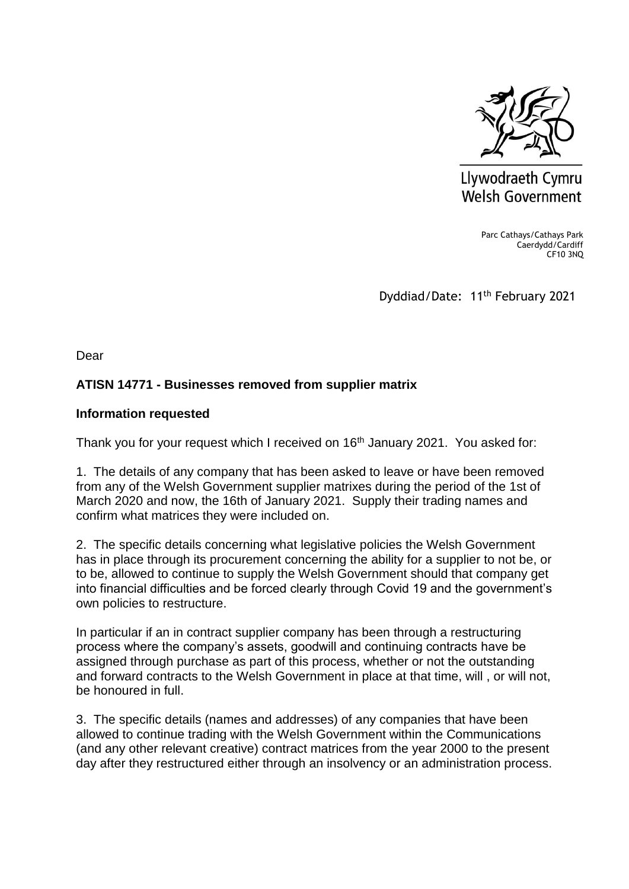

Llywodraeth Cymru **Welsh Government** 

> Parc Cathays/Cathays Park Caerdydd/Cardiff CF10 3NQ

Dyddiad/Date: 11<sup>th</sup> February 2021

Dear

## **ATISN 14771 - Businesses removed from supplier matrix**

## **Information requested**

Thank you for your request which I received on 16<sup>th</sup> January 2021. You asked for:

1. The details of any company that has been asked to leave or have been removed from any of the Welsh Government supplier matrixes during the period of the 1st of March 2020 and now, the 16th of January 2021. Supply their trading names and confirm what matrices they were included on.

2. The specific details concerning what legislative policies the Welsh Government has in place through its procurement concerning the ability for a supplier to not be, or to be, allowed to continue to supply the Welsh Government should that company get into financial difficulties and be forced clearly through Covid 19 and the government's own policies to restructure.

In particular if an in contract supplier company has been through a restructuring process where the company's assets, goodwill and continuing contracts have be assigned through purchase as part of this process, whether or not the outstanding and forward contracts to the Welsh Government in place at that time, will , or will not, be honoured in full.

3. The specific details (names and addresses) of any companies that have been allowed to continue trading with the Welsh Government within the Communications (and any other relevant creative) contract matrices from the year 2000 to the present day after they restructured either through an insolvency or an administration process.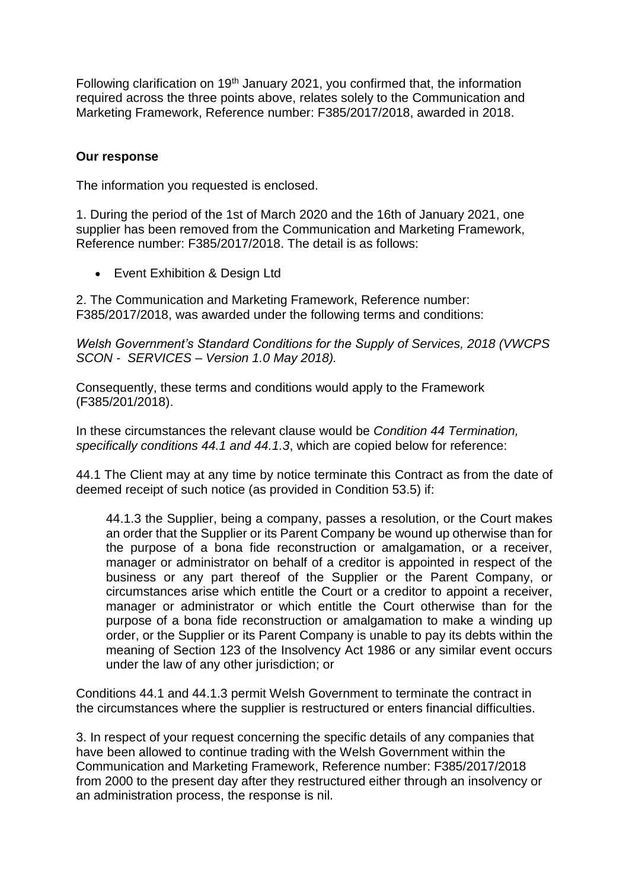Following clarification on 19<sup>th</sup> January 2021, you confirmed that, the information required across the three points above, relates solely to the Communication and Marketing Framework, Reference number: F385/2017/2018, awarded in 2018.

## **Our response**

The information you requested is enclosed.

1. During the period of the 1st of March 2020 and the 16th of January 2021, one supplier has been removed from the Communication and Marketing Framework, Reference number: F385/2017/2018. The detail is as follows:

• Event Exhibition & Design Ltd

2. The Communication and Marketing Framework, Reference number: F385/2017/2018, was awarded under the following terms and conditions:

*Welsh Government's Standard Conditions for the Supply of Services, 2018 (VWCPS SCON - SERVICES – Version 1.0 May 2018).* 

Consequently, these terms and conditions would apply to the Framework (F385/201/2018).

In these circumstances the relevant clause would be *Condition 44 Termination, specifically conditions 44.1 and 44.1.3*, which are copied below for reference:

44.1 The Client may at any time by notice terminate this Contract as from the date of deemed receipt of such notice (as provided in Condition 53.5) if:

44.1.3 the Supplier, being a company, passes a resolution, or the Court makes an order that the Supplier or its Parent Company be wound up otherwise than for the purpose of a bona fide reconstruction or amalgamation, or a receiver, manager or administrator on behalf of a creditor is appointed in respect of the business or any part thereof of the Supplier or the Parent Company, or circumstances arise which entitle the Court or a creditor to appoint a receiver, manager or administrator or which entitle the Court otherwise than for the purpose of a bona fide reconstruction or amalgamation to make a winding up order, or the Supplier or its Parent Company is unable to pay its debts within the meaning of Section 123 of the Insolvency Act 1986 or any similar event occurs under the law of any other jurisdiction; or

Conditions 44.1 and 44.1.3 permit Welsh Government to terminate the contract in the circumstances where the supplier is restructured or enters financial difficulties.

3. In respect of your request concerning the specific details of any companies that have been allowed to continue trading with the Welsh Government within the Communication and Marketing Framework, Reference number: F385/2017/2018 from 2000 to the present day after they restructured either through an insolvency or an administration process, the response is nil.